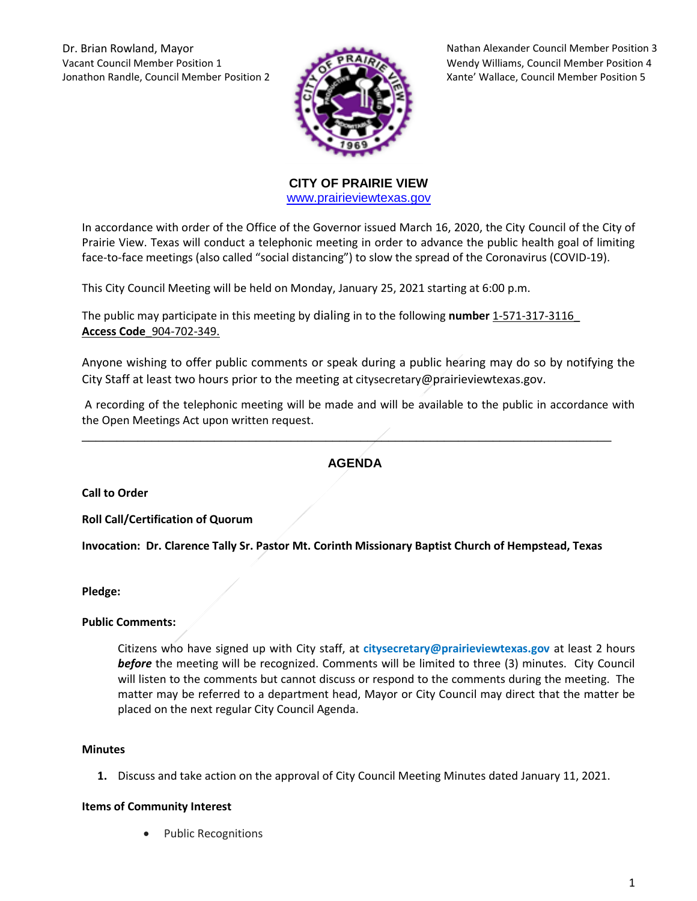Dr. Brian Rowland, Mayor Nathan Alexander Council Member Position 3 Vacant Council Member Position 1 Wendy Williams, Council Member Position 4 Jonathon Randle, Council Member Position 2 Xante' Wallace, Council Member Position 5



**CITY OF PRAIRIE VIEW**  [www.prairieviewtexas.gov](http://www.prairieviewtexas.gov/)

In accordance with order of the Office of the Governor issued March 16, 2020, the City Council of the City of Prairie View. Texas will conduct a telephonic meeting in order to advance the public health goal of limiting face-to-face meetings (also called "social distancing") to slow the spread of the Coronavirus (COVID-19).

This City Council Meeting will be held on Monday, January 25, 2021 starting at 6:00 p.m.

The public may participate in this meeting by dialing in to the following **number** 1-571-317-3116\_ **Access Code**\_904-702-349.

Anyone wishing to offer public comments or speak during a public hearing may do so by notifying the City Staff at least two hours prior to the meeting at citysecretary@prairieviewtexas.gov.

A recording of the telephonic meeting will be made and will be available to the public in accordance with the Open Meetings Act upon written request.

## **AGENDA**

\_\_\_\_\_\_\_\_\_\_\_\_\_\_\_\_\_\_\_\_\_\_\_\_\_\_\_\_\_\_\_\_\_\_\_\_\_\_\_\_\_\_\_\_\_\_\_\_\_\_\_\_\_\_\_\_\_\_\_\_\_\_\_\_\_\_\_\_\_\_\_\_\_\_\_\_

**Call to Order**

**Roll Call/Certification of Quorum**

**Invocation: Dr. Clarence Tally Sr. Pastor Mt. Corinth Missionary Baptist Church of Hempstead, Texas** 

#### **Pledge:**

## **Public Comments:**

Citizens who have signed up with City staff, at **citysecretary@prairieviewtexas.gov** at least 2 hours *before* the meeting will be recognized. Comments will be limited to three (3) minutes. City Council will listen to the comments but cannot discuss or respond to the comments during the meeting. The matter may be referred to a department head, Mayor or City Council may direct that the matter be placed on the next regular City Council Agenda.

#### **Minutes**

**1.** Discuss and take action on the approval of City Council Meeting Minutes dated January 11, 2021.

## **Items of Community Interest**

Public Recognitions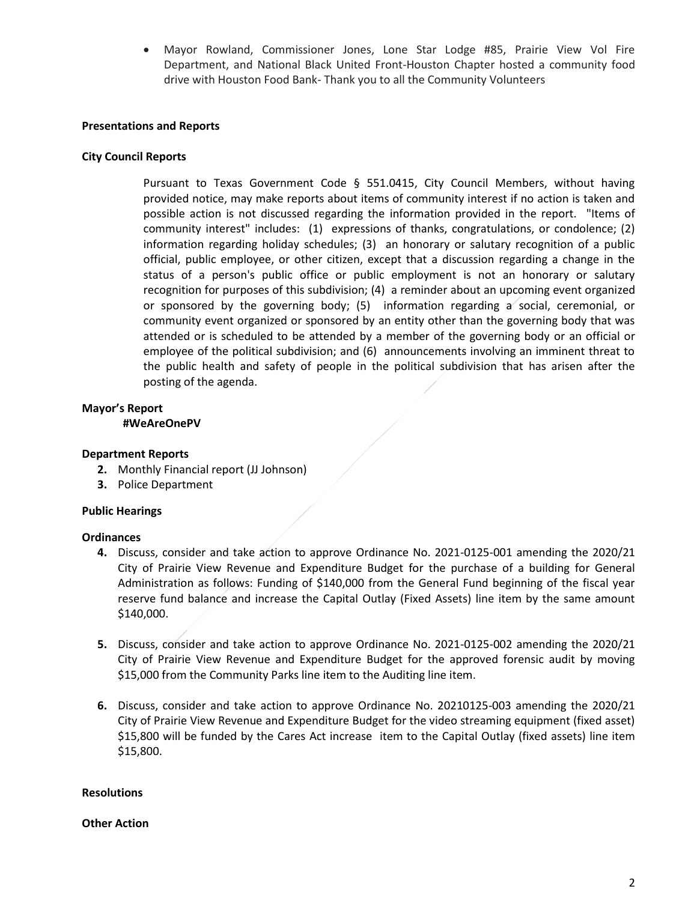Mayor Rowland, Commissioner Jones, Lone Star Lodge #85, Prairie View Vol Fire Department, and National Black United Front-Houston Chapter hosted a community food drive with Houston Food Bank- Thank you to all the Community Volunteers

#### **Presentations and Reports**

#### **City Council Reports**

Pursuant to Texas Government Code § 551.0415, City Council Members, without having provided notice, may make reports about items of community interest if no action is taken and possible action is not discussed regarding the information provided in the report. "Items of community interest" includes: (1) expressions of thanks, congratulations, or condolence; (2) information regarding holiday schedules; (3) an honorary or salutary recognition of a public official, public employee, or other citizen, except that a discussion regarding a change in the status of a person's public office or public employment is not an honorary or salutary recognition for purposes of this subdivision; (4) a reminder about an upcoming event organized or sponsored by the governing body; (5) information regarding a social, ceremonial, or community event organized or sponsored by an entity other than the governing body that was attended or is scheduled to be attended by a member of the governing body or an official or employee of the political subdivision; and (6) announcements involving an imminent threat to the public health and safety of people in the political subdivision that has arisen after the posting of the agenda.

#### **Mayor's Report #WeAreOnePV**

#### **Department Reports**

- **2.** Monthly Financial report (JJ Johnson)
- **3.** Police Department

## **Public Hearings**

#### **Ordinances**

- **4.** Discuss, consider and take action to approve Ordinance No. 2021-0125-001 amending the 2020/21 City of Prairie View Revenue and Expenditure Budget for the purchase of a building for General Administration as follows: Funding of \$140,000 from the General Fund beginning of the fiscal year reserve fund balance and increase the Capital Outlay (Fixed Assets) line item by the same amount \$140,000.
- **5.** Discuss, consider and take action to approve Ordinance No. 2021-0125-002 amending the 2020/21 City of Prairie View Revenue and Expenditure Budget for the approved forensic audit by moving \$15,000 from the Community Parks line item to the Auditing line item.
- **6.** Discuss, consider and take action to approve Ordinance No. 20210125-003 amending the 2020/21 City of Prairie View Revenue and Expenditure Budget for the video streaming equipment (fixed asset) \$15,800 will be funded by the Cares Act increase item to the Capital Outlay (fixed assets) line item \$15,800.

#### **Resolutions**

#### **Other Action**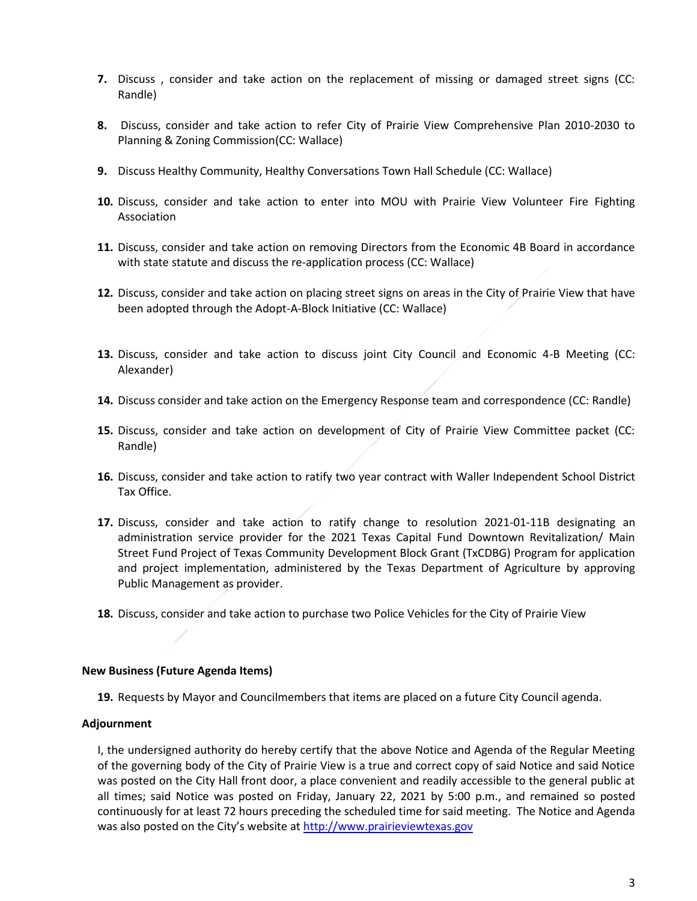- **7.** Discuss , consider and take action on the replacement of missing or damaged street signs (CC: Randle)
- **8.** Discuss, consider and take action to refer City of Prairie View Comprehensive Plan 2010-2030 to Planning & Zoning Commission(CC: Wallace)
- **9.** Discuss Healthy Community, Healthy Conversations Town Hall Schedule (CC: Wallace)
- **10.** Discuss, consider and take action to enter into MOU with Prairie View Volunteer Fire Fighting Association
- **11.** Discuss, consider and take action on removing Directors from the Economic 4B Board in accordance with state statute and discuss the re-application process (CC: Wallace)
- **12.** Discuss, consider and take action on placing street signs on areas in the City of Prairie View that have been adopted through the Adopt-A-Block Initiative (CC: Wallace)
- **13.** Discuss, consider and take action to discuss joint City Council and Economic 4-B Meeting (CC: Alexander)
- **14.** Discuss consider and take action on the Emergency Response team and correspondence (CC: Randle)
- **15.** Discuss, consider and take action on development of City of Prairie View Committee packet (CC: Randle)
- **16.** Discuss, consider and take action to ratify two year contract with Waller Independent School District Tax Office.
- **17.** Discuss, consider and take action to ratify change to resolution 2021-01-11B designating an administration service provider for the 2021 Texas Capital Fund Downtown Revitalization/ Main Street Fund Project of Texas Community Development Block Grant (TxCDBG) Program for application and project implementation, administered by the Texas Department of Agriculture by approving Public Management as provider.
- **18.** Discuss, consider and take action to purchase two Police Vehicles for the City of Prairie View

#### **New Business (Future Agenda Items)**

**19.** Requests by Mayor and Councilmembers that items are placed on a future City Council agenda.

## **Adjournment**

I, the undersigned authority do hereby certify that the above Notice and Agenda of the Regular Meeting of the governing body of the City of Prairie View is a true and correct copy of said Notice and said Notice was posted on the City Hall front door, a place convenient and readily accessible to the general public at all times; said Notice was posted on Friday, January 22, 2021 by 5:00 p.m., and remained so posted continuously for at least 72 hours preceding the scheduled time for said meeting. The Notice and Agenda was also posted on the City's website at [http://www.prairieviewtexas.gov](http://www.prairieviewtexas.gov/)